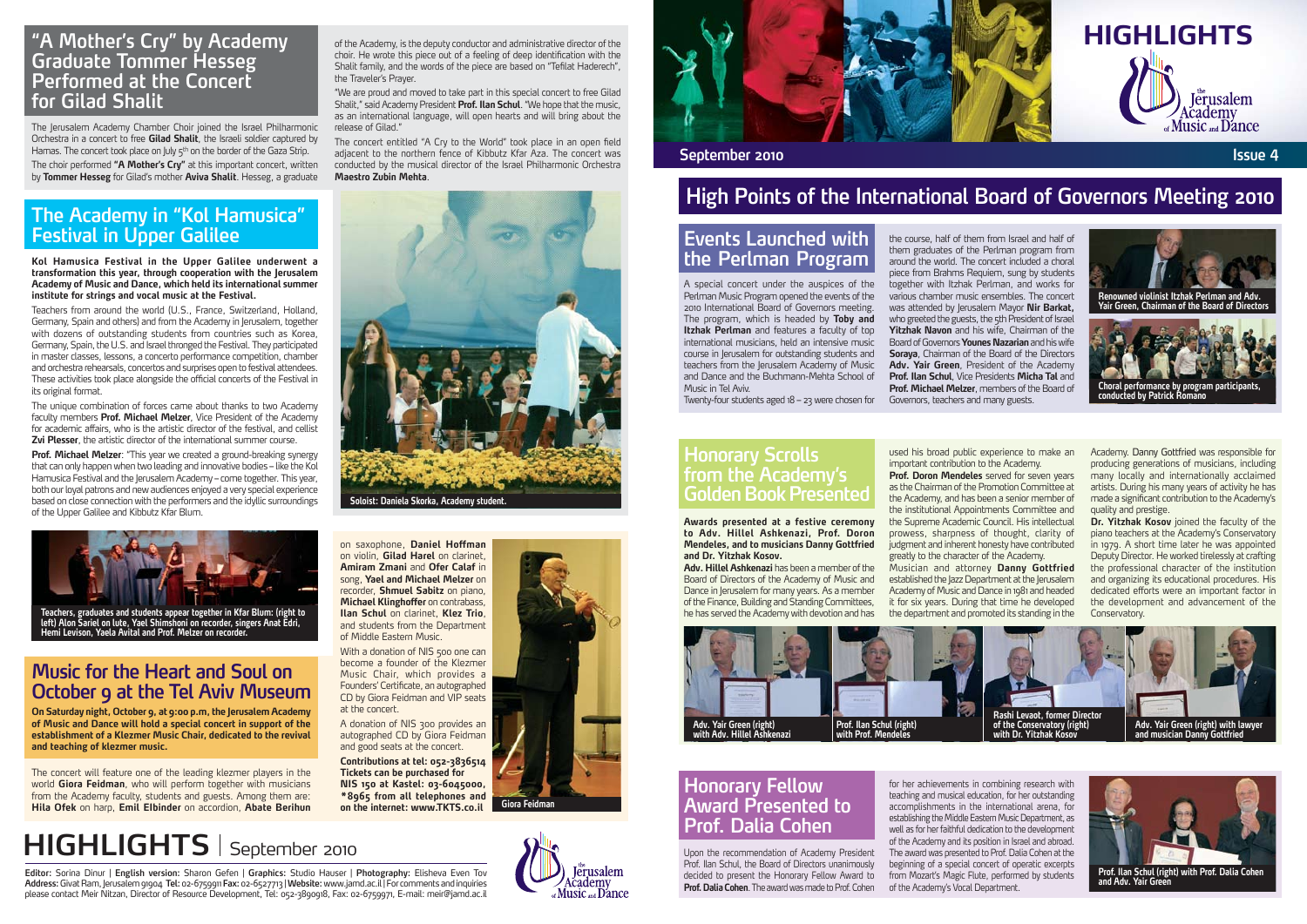

## **High Points of the International Board of Governors Meeting 2010**

#### **Events Launched with the Perlman Program**

**Honorary Scrolls from the Academy's Golden Book Presented** 

A special concert under the auspices of the Perlman Music Program opened the events of the 2010 International Board of Governors meeting. The program, which is headed by **Toby and Itzhak Perlman** and features a faculty of top international musicians, held an intensive music course in Jerusalem for outstanding students and teachers from the Jerusalem Academy of Music and Dance and the Buchmann-Mehta School of Music in Tel Aviv.

Twenty-four students aged 18 – 23 were chosen for

The Jerusalem Academy Chamber Choir joined the Israel Philharmonic Orchestra in a concert to free **Gilad Shalit**, the Israeli soldier captured by Hamas. The concert took place on July 5th on the border of the Gaza Strip. The choir performed **"A Mother's Cry"** at this important concert, written by **Tommer Hesseg** for Gilad's mother **Aviva Shalit**. Hesseg, a graduate

The unique combination of forces came about thanks to two Academy faculty members **Prof. Michael Melzer**, Vice President of the Academy for academic affairs, who is the artistic director of the festival, and cellist **Zvi Plesser**, the artistic director of the international summer course.

**Kol Hamusica Festival in the Upper Galilee underwent a transformation this year, through cooperation with the Jerusalem Academy of Music and Dance, which held its international summer institute for strings and vocal music at the Festival.**

Teachers from around the world (U.S., France, Switzerland, Holland, Germany, Spain and others) and from the Academy in Jerusalem, together with dozens of outstanding students from countries such as Korea, Germany, Spain, the U.S. and Israel thronged the Festival. They participated in master classes, lessons, a concerto performance competition, chamber and orchestra rehearsals, concertos and surprises open to festival attendees. These activities took place alongside the official concerts of the Festival in its original format.

**Prof. Michael Melzer**: "This year we created a ground-breaking synergy that can only happen when two leading and innovative bodies – like the Kol Hamusica Festival and the Ierusalem Academy – come together. This year, both our loyal patrons and new audiences enjoyed a very special experience based on close connection with the performers and the idyllic surroundings of the Upper Galilee and Kibbutz Kfar Blum.

**On Saturday night, October 9, at 9:00 p.m, the Jerusalem Academy of Music and Dance will hold a special concert in support of the establishment of a Klezmer Music Chair, dedicated to the revival and teaching of klezmer music.**

The concert will feature one of the leading klezmer players in the world **Giora Feidman**, who will perform together with musicians from the Academy faculty, students and guests. Among them are: **Hila Ofek** on harp, **Emil EIbinder** on accordion, **Abate Berihun**

# **HIGHLIGHTS** September 2010

**Dr. Yitzhak Kosov** joined the faculty of the piano teachers at the Academy's Conservatory in 1979. A short time later he was appointed Deputy Director. He worked tirelessly at crafting the professional character of the institution and organizing its educational procedures. His dedicated efforts were an important factor in the development and advancement of the Conservatory.

**Awards presented at a festive ceremony to Adv. Hillel Ashkenazi, Prof. Doron Mendeles, and to musicians Danny Gottfried and Dr. Yitzhak Kosov.**

#### **Honorary Fellow Award Presented to Prof. Dalia Cohen**

**Adv. Hillel Ashkenazi** has been a member of the Board of Directors of the Academy of Music and Dance in Jerusalem for many years. As a member of the Finance, Building and Standing Committees, he has served the Academy with devotion and has

Upon the recommendation of Academy President Prof. Ilan Schul, the Board of Directors unanimously decided to present the Honorary Fellow Award to **Prof. Dalia Cohen**. The award was made to Prof. Cohen

With a donation of NIS 500 one can become a founder of the Klezmer Music Chair, which provides a Founders' Certificate, an autographed CD by Giora Feidman and VIP seats at the concert.

the course, half of them from Israel and half of them graduates of the Perlman program from around the world. The concert included a choral piece from Brahms Requiem, sung by students together with Itzhak Perlman, and works for various chamber music ensembles. The concert was attended by Jerusalem Mayor **Nir Barkat,** who greeted the guests, the 5th President of Israel **Yitzhak Navon** and his wife, Chairman of the Board of Governors **Younes Nazarian** and his wife **Soraya**, Chairman of the Board of the Directors **Adv. Yair Green**, President of the Academy **Prof. Ilan Schul**, Vice Presidents **Micha Tal** and **Prof. Michael Melzer**, members of the Board of Governors, teachers and many guests.

used his broad public experience to make an important contribution to the Academy. **Prof. Doron Mendeles** served for seven years as the Chairman of the Promotion Committee at the Academy, and has been a senior member of the institutional Appointments Committee and the Supreme Academic Council. His intellectual prowess, sharpness of thought, clarity of judgment and inherent honesty have contributed greatly to the character of the Academy. Musician and attorney **Danny Gottfried** established the Jazz Department at the Jerusalem Academy of Music and Dance in 1981 and headed it for six years. During that time he developed the department and promoted its standing in the

for her achievements in combining research with teaching and musical education, for her outstanding accomplishments in the international arena, for establishing the Middle Eastern Music Department, as well as for her faithful dedication to the development of the Academy and its position in Israel and abroad. The award was presented to Prof. Dalia Cohen at the beginning of a special concert of operatic excerpts from Mozart's Magic Flute, performed by students of the Academy's Vocal Department.

Academy. Danny Gottfried was responsible for producing generations of musicians, including many locally and internationally acclaimed artists. During his many years of activity he has made a significant contribution to the Academy's quality and prestige.

#### **"A Mother's Cry" by Academy Graduate Tommer Hesseg Performed at the Concert for Gilad Shalit**

#### **The Academy in "Kol Hamusica" Festival in Upper Galilee**

### **Music for the Heart and Soul on October 9 at the Tel Aviv Museum**

of the Academy, is the deputy conductor and administrative director of the choir. He wrote this piece out of a feeling of deep identification with the Shalit family, and the words of the piece are based on "Tefilat Haderech", the Traveler's Prayer.

"We are proud and moved to take part in this special concert to free Gilad Shalit," said Academy President **Prof. Ilan Schul**. "We hope that the music, as an international language, will open hearts and will bring about the release of Gilad."

The concert entitled "A Cry to the World" took place in an open field adjacent to the northern fence of Kibbutz Kfar Aza. The concert was conducted by the musical director of the Israel Philharmonic Orchestra **Maestro Zubin Mehta**.

on saxophone, **Daniel Hoffman** on violin, **Gilad Harel** on clarinet, **Amiram Zmani** and **Ofer Calaf** in song, **Yael and Michael Melzer** on recorder, **Shmuel Sabitz** on piano, **Michael Klinghoffer** on contrabass. **Ilan Schul** on clarinet, **Klez Trio**, and students from the Department of Middle Eastern Music.

A donation of NIS 300 provides an autographed CD by Giora Feidman and good seats at the concert.

**Contributions at tel: 052-3836514 Tickets can be purchased for NIS 150 at Kastel: 03-6045000, \*8965 from all telephones and on the internet: www.TKTS.co.il**

**Editor:** Sorina Dinur | **English version:** Sharon Gefen | **Graphics:** Studio Hauser | **Photography:** Elisheva Even Tov **Address:** Givat Ram, Jerusalem 91904 **Tel:** 02-6759911 **Fax:** 02-6527713 | **Website:** www.jamd.ac.il | For comments and inquiries please contact Meir Nitzan, Director of Resource Development, Tel: 052-3890918, Fax: 02-6759971, E-mail: meir@jamd.ac.il







**Teachers, graduates and students appear together in Kfar Blum: (right to left) Alon Sariel on lute, Yael Shimshoni on recorder, singers Anat Edri, Hemi Levison, Yaela Avital and Prof. Melzer on recorder.** 



**Soloist: Daniela Skorka, Academy student.**



**and Adv. Yair Green**